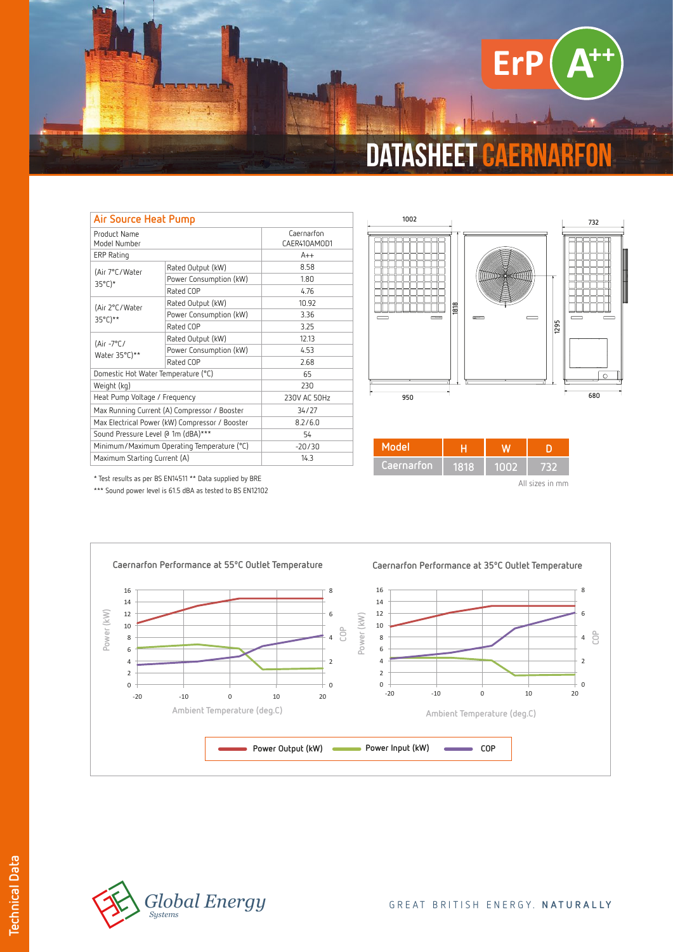

| Air Source Heat Pump                           |                        |                            |  |  |
|------------------------------------------------|------------------------|----------------------------|--|--|
| Product Name<br>Model Number                   |                        | Caernarfon<br>CAER410AMOD1 |  |  |
| ERP Rating                                     |                        | $A++$                      |  |  |
| (Air 7°C/Water<br>$35^{\circ}$ C)*             | Rated Output (kW)      | 8.58                       |  |  |
|                                                | Power Consumption (kW) | 1.80                       |  |  |
|                                                | Rated COP              | 4.76                       |  |  |
| (Air 2°C/Water<br>35°C)**                      | Rated Output (kW)      | 10.92                      |  |  |
|                                                | Power Consumption (kW) | 3.36                       |  |  |
|                                                | Rated COP              | 3.25                       |  |  |
| (Air $-7^{\circ}$ C/<br>Water 35°C)**          | Rated Output (kW)      | 12.13                      |  |  |
|                                                | Power Consumption (kW) | 4.53                       |  |  |
|                                                | Rated COP              | 2.68                       |  |  |
| Domestic Hot Water Temperature (°C)            |                        | 65                         |  |  |
| Weight (kg)                                    |                        | 230                        |  |  |
| Heat Pump Voltage / Frequency                  |                        | 230V AC 50Hz               |  |  |
| Max Running Current (A) Compressor / Booster   |                        | 34/27                      |  |  |
| Max Electrical Power (kW) Compressor / Booster |                        | 8.2/6.0                    |  |  |
| Sound Pressure Level @ 1m (dBA)***             |                        | 54                         |  |  |
| Minimum/Maximum Operating Temperature (°C)     |                        | $-20/30$                   |  |  |
| Maximum Starting Current (A)                   |                        | 14.3                       |  |  |



| Model      |      |      |                 |
|------------|------|------|-----------------|
| Caernarfon | 1818 | 1002 | 732             |
|            |      |      | All sizes in mm |

\* Test results as per BS EN14511 \*\* Data supplied by BRE

\*\*\* Sound power level is 61.5 dBA as tested to BS EN12102